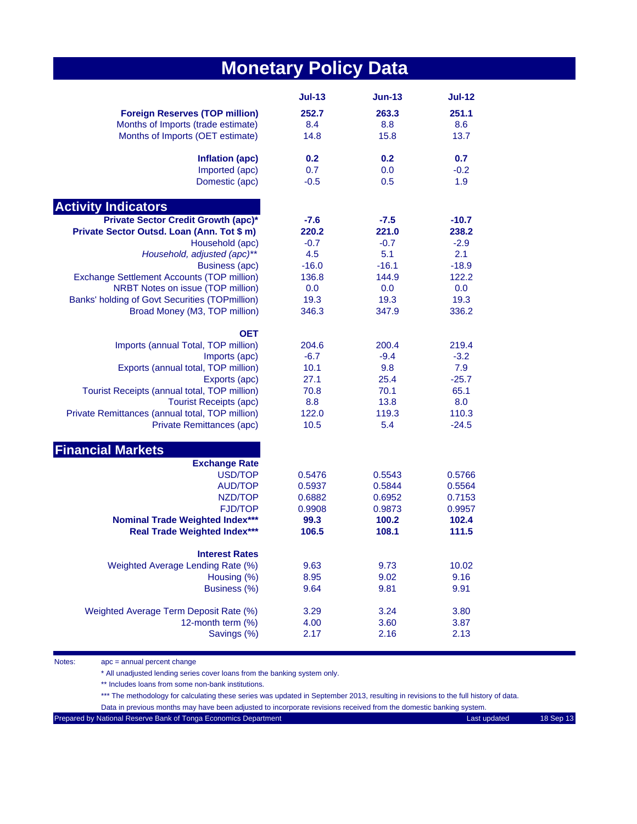## **Monetary Policy Data**

|                                                 | <b>Jul-13</b> | $Jun-13$ | <b>Jul-12</b> |
|-------------------------------------------------|---------------|----------|---------------|
| <b>Foreign Reserves (TOP million)</b>           | 252.7         | 263.3    | 251.1         |
| Months of Imports (trade estimate)              | 8.4           | 8.8      | 8.6           |
| Months of Imports (OET estimate)                | 14.8          | 15.8     | 13.7          |
| Inflation (apc)                                 | 0.2           | 0.2      | 0.7           |
| Imported (apc)                                  | 0.7           | 0.0      | $-0.2$        |
| Domestic (apc)                                  | $-0.5$        | 0.5      | 1.9           |
| <b>Activity Indicators</b>                      |               |          |               |
| Private Sector Credit Growth (apc)*             | $-7.6$        | $-7.5$   | $-10.7$       |
| Private Sector Outsd. Loan (Ann. Tot \$ m)      | 220.2         | 221.0    | 238.2         |
| Household (apc)                                 | $-0.7$        | $-0.7$   | $-2.9$        |
| Household, adjusted (apc)**                     | 4.5           | 5.1      | 2.1           |
| <b>Business (apc)</b>                           | $-16.0$       | $-16.1$  | $-18.9$       |
| Exchange Settlement Accounts (TOP million)      | 136.8         | 144.9    | 122.2         |
| NRBT Notes on issue (TOP million)               | 0.0           | 0.0      | 0.0           |
| Banks' holding of Govt Securities (TOPmillion)  | 19.3          | 19.3     | 19.3          |
| Broad Money (M3, TOP million)                   | 346.3         | 347.9    | 336.2         |
| <b>OET</b>                                      |               |          |               |
| Imports (annual Total, TOP million)             | 204.6         | 200.4    | 219.4         |
| Imports (apc)                                   | $-6.7$        | $-9.4$   | $-3.2$        |
| Exports (annual total, TOP million)             | 10.1          | 9.8      | 7.9           |
| Exports (apc)                                   | 27.1          | 25.4     | $-25.7$       |
| Tourist Receipts (annual total, TOP million)    | 70.8          | 70.1     | 65.1          |
| <b>Tourist Receipts (apc)</b>                   | 8.8           | 13.8     | 8.0           |
| Private Remittances (annual total, TOP million) | 122.0         | 119.3    | 110.3         |
| Private Remittances (apc)                       | 10.5          | 5.4      | $-24.5$       |
| <b>Financial Markets</b>                        |               |          |               |
| <b>Exchange Rate</b>                            |               |          |               |
| USD/TOP                                         | 0.5476        | 0.5543   | 0.5766        |
| <b>AUD/TOP</b>                                  | 0.5937        | 0.5844   | 0.5564        |
| NZD/TOP                                         | 0.6882        | 0.6952   | 0.7153        |
| <b>FJD/TOP</b>                                  | 0.9908        | 0.9873   | 0.9957        |
| <b>Nominal Trade Weighted Index***</b>          | 99.3          | 100.2    | 102.4         |
| <b>Real Trade Weighted Index***</b>             | 106.5         | 108.1    | 111.5         |
| <b>Interest Rates</b>                           |               |          |               |
| Weighted Average Lending Rate (%)               | 9.63          | 9.73     | 10.02         |
| Housing (%)                                     | 8.95          | 9.02     | 9.16          |
| Business (%)                                    | 9.64          | 9.81     | 9.91          |
| Weighted Average Term Deposit Rate (%)          | 3.29          | 3.24     | 3.80          |
| 12-month term (%)                               | 4.00          | 3.60     | 3.87          |
| Savings (%)                                     | 2.17          | 2.16     | 2.13          |

Notes: apc = annual percent change

\* All unadjusted lending series cover loans from the banking system only.

\*\* Includes loans from some non-bank institutions.

\*\*\* The methodology for calculating these series was updated in September 2013, resulting in revisions to the full history of data.

Data in previous months may have been adjusted to incorporate revisions received from the domestic banking system.

Prepared by National Reserve Bank of Tonga Economics Department Last updated Last updated 18 Sep 13